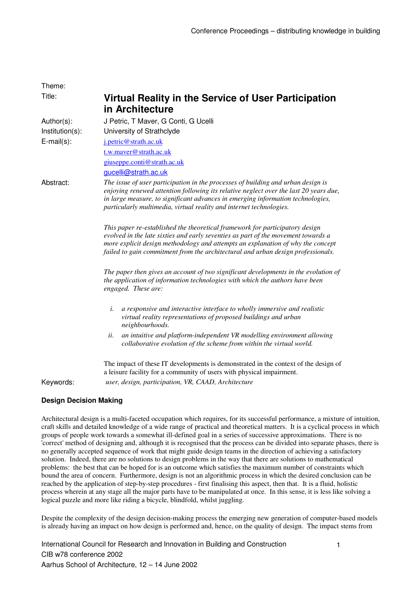| Theme:            |                                                                                                                                                                                                                                                                                                                                          |
|-------------------|------------------------------------------------------------------------------------------------------------------------------------------------------------------------------------------------------------------------------------------------------------------------------------------------------------------------------------------|
| Title:            | Virtual Reality in the Service of User Participation<br>in Architecture                                                                                                                                                                                                                                                                  |
| Author(s):        | J Petric, T Maver, G Conti, G Ucelli                                                                                                                                                                                                                                                                                                     |
| Institution(s):   | University of Strathclyde                                                                                                                                                                                                                                                                                                                |
| $E$ -mail $(s)$ : | j.petric@strath.ac.uk                                                                                                                                                                                                                                                                                                                    |
|                   | t.w.mayer@strath.ac.uk                                                                                                                                                                                                                                                                                                                   |
|                   | giuseppe.conti@strath.ac.uk                                                                                                                                                                                                                                                                                                              |
|                   | gucelli@strath.ac.uk                                                                                                                                                                                                                                                                                                                     |
| Abstract:         | The issue of user participation in the processes of building and urban design is<br>enjoying renewed attention following its relative neglect over the last 20 years due,<br>in large measure, to significant advances in emerging information technologies,<br>particularly multimedia, virtual reality and internet technologies.      |
|                   | This paper re-established the theoretical framework for participatory design<br>evolved in the late sixties and early seventies as part of the movement towards a<br>more explicit design methodology and attempts an explanation of why the concept<br>failed to gain commitment from the architectural and urban design professionals. |
|                   | The paper then gives an account of two significant developments in the evolution of<br>the application of information technologies with which the authors have been<br>engaged. These are:                                                                                                                                               |
|                   | i.<br>a responsive and interactive interface to wholly immersive and realistic<br>virtual reality representations of proposed buildings and urban<br>neighbourhoods.                                                                                                                                                                     |
|                   | ii.<br>an intuitive and platform-independent VR modelling environment allowing<br>collaborative evolution of the scheme from within the virtual world.                                                                                                                                                                                   |
|                   | The impact of these IT developments is demonstrated in the context of the design of<br>a leisure facility for a community of users with physical impairment.                                                                                                                                                                             |
| Keywords:         | user, design, participation, VR, CAAD, Architecture                                                                                                                                                                                                                                                                                      |

## **Design Decision Making**

Architectural design is a multi-faceted occupation which requires, for its successful performance, a mixture of intuition, craft skills and detailed knowledge of a wide range of practical and theoretical matters. It is a cyclical process in which groups of people work towards a somewhat ill-defined goal in a series of successive approximations. There is no 'correct' method of designing and, although it is recognised that the process can be divided into separate phases, there is no generally accepted sequence of work that might guide design teams in the direction of achieving a satisfactory solution. Indeed, there are no solutions to design problems in the way that there are solutions to mathematical problems: the best that can be hoped for is an outcome which satisfies the maximum number of constraints which bound the area of concern. Furthermore, design is not an algorithmic process in which the desired conclusion can be reached by the application of step-by-step procedures - first finalising this aspect, then that. It is a fluid, holistic process wherein at any stage all the major parts have to be manipulated at once. In this sense, it is less like solving a logical puzzle and more like riding a bicycle, blindfold, whilst juggling.

Despite the complexity of the design decision-making process the emerging new generation of computer-based models is already having an impact on how design is performed and, hence, on the quality of design. The impact stems from

International Council for Research and Innovation in Building and Construction CIB w78 conference 2002 Aarhus School of Architecture, 12 – 14 June 2002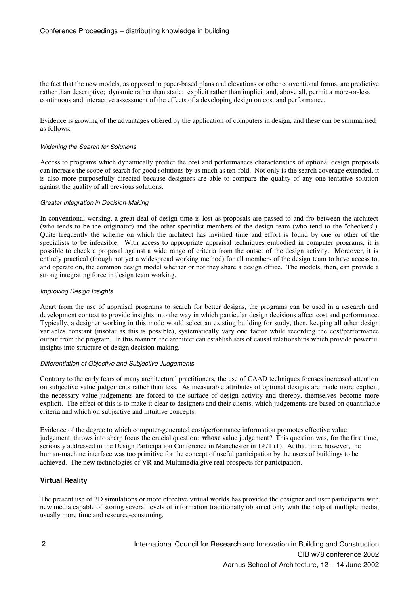the fact that the new models, as opposed to paper-based plans and elevations or other conventional forms, are predictive rather than descriptive; dynamic rather than static; explicit rather than implicit and, above all, permit a more-or-less continuous and interactive assessment of the effects of a developing design on cost and performance.

Evidence is growing of the advantages offered by the application of computers in design, and these can be summarised as follows:

#### Widening the Search for Solutions

Access to programs which dynamically predict the cost and performances characteristics of optional design proposals can increase the scope of search for good solutions by as much as ten-fold. Not only is the search coverage extended, it is also more purposefully directed because designers are able to compare the quality of any one tentative solution against the quality of all previous solutions.

#### Greater Integration in Decision-Making

In conventional working, a great deal of design time is lost as proposals are passed to and fro between the architect (who tends to be the originator) and the other specialist members of the design team (who tend to the "checkers"). Quite frequently the scheme on which the architect has lavished time and effort is found by one or other of the specialists to be infeasible. With access to appropriate appraisal techniques embodied in computer programs, it is possible to check a proposal against a wide range of criteria from the outset of the design activity. Moreover, it is entirely practical (though not yet a widespread working method) for all members of the design team to have access to, and operate on, the common design model whether or not they share a design office. The models, then, can provide a strong integrating force in design team working.

#### Improving Design Insights

Apart from the use of appraisal programs to search for better designs, the programs can be used in a research and development context to provide insights into the way in which particular design decisions affect cost and performance. Typically, a designer working in this mode would select an existing building for study, then, keeping all other design variables constant (insofar as this is possible), systematically vary one factor while recording the cost/performance output from the program. In this manner, the architect can establish sets of causal relationships which provide powerful insights into structure of design decision-making.

#### Differentiation of Objective and Subjective Judgements

Contrary to the early fears of many architectural practitioners, the use of CAAD techniques focuses increased attention on subjective value judgements rather than less. As measurable attributes of optional designs are made more explicit, the necessary value judgements are forced to the surface of design activity and thereby, themselves become more explicit. The effect of this is to make it clear to designers and their clients, which judgements are based on quantifiable criteria and which on subjective and intuitive concepts.

Evidence of the degree to which computer-generated cost/performance information promotes effective value judgement, throws into sharp focus the crucial question: **whose** value judgement? This question was, for the first time, seriously addressed in the Design Participation Conference in Manchester in 1971 (1). At that time, however, the human-machine interface was too primitive for the concept of useful participation by the users of buildings to be achieved. The new technologies of VR and Multimedia give real prospects for participation.

## **Virtual Reality**

The present use of 3D simulations or more effective virtual worlds has provided the designer and user participants with new media capable of storing several levels of information traditionally obtained only with the help of multiple media, usually more time and resource-consuming.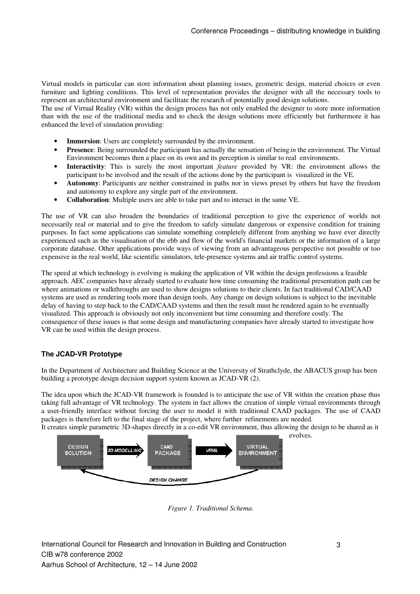Virtual models in particular can store information about planning issues, geometric design, material choices or even furniture and lighting conditions. This level of representation provides the designer with all the necessary tools to represent an architectural environment and facilitate the research of potentially good design solutions.

The use of Virtual Reality (VR) within the design process has not only enabled the designer to store more information than with the use of the traditional media and to check the design solutions more efficiently but furthermore it has enhanced the level of simulation providing:

- **Immersion**: Users are completely surrounded by the environment.
- **Presence**: Being surrounded the participant has actually the sensation of being *in* the environment. The Virtual Environment becomes then a place on its own and its perception is similar to real environments.
- **Interactivity**: This is surely the most important *feature* provided by VR: the environment allows the participant to be involved and the result of the actions done by the participant is visualized in the VE.
- **Autonomy**: Participants are neither constrained in paths nor in views preset by others but have the freedom and autonomy to explore any single part of the environment.
- **Collaboration**: Multiple users are able to take part and to interact in the same VE.

The use of VR can also broaden the boundaries of traditional perception to give the experience of worlds not necessarily real or material and to give the freedom to safely simulate dangerous or expensive condition for training purposes. In fact some applications can simulate something completely different from anything we have ever directly experienced such as the visualisation of the ebb and flow of the world's financial markets or the information of a large corporate database. Other applications provide ways of viewing from an advantageous perspective not possible or too expensive in the real world, like scientific simulators, tele-presence systems and air traffic control systems.

The speed at which technology is evolving is making the application of VR within the design professions a feasible approach. AEC companies have already started to evaluate how time consuming the traditional presentation path can be where animations or walkthroughs are used to show designs solutions to their clients. In fact traditional CAD/CAAD systems are used as rendering tools more than design tools. Any change on design solutions is subject to the inevitable delay of having to step back to the CAD/CAAD systems and then the result must be rendered again to be eventually visualized. This approach is obviously not only inconvenient but time consuming and therefore costly. The consequence of these issues is that some design and manufacturing companies have already started to investigate how VR can be used within the design process.

# **The JCAD-VR Prototype**

In the Department of Architecture and Building Science at the University of Strathclyde, the ABACUS group has been building a prototype design decision support system known as JCAD-VR (2).

The idea upon which the JCAD-VR framework is founded is to anticipate the use of VR within the creation phase thus taking full advantage of VR technology. The system in fact allows the creation of simple virtual environments through a user-friendly interface without forcing the user to model it with traditional CAAD packages. The use of CAAD packages is therefore left to the final stage of the project, where further refinements are needed.

It creates simple parametric 3D-shapes directly in a co-edit VR environment, thus allowing the design to be shared as it evolves.



*Figure 1. Traditional Schema.*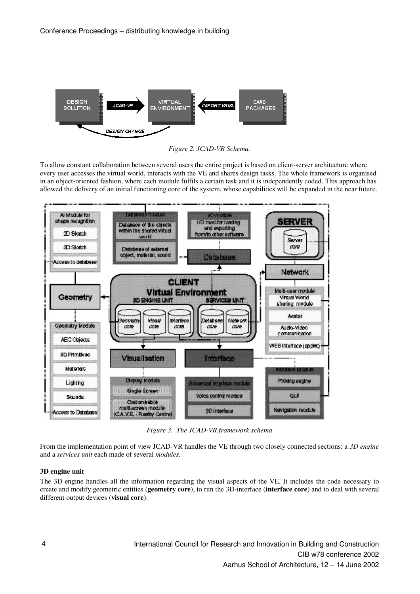

*Figure 2. JCAD-VR Schema.*

To allow constant collaboration between several users the entire project is based on client-server architecture where every user accesses the virtual world, interacts with the VE and shares design tasks. The whole framework is organised in an object-oriented fashion, where each module fulfils a certain task and it is independently coded. This approach has allowed the delivery of an initial functioning core of the system, whose capabilities will be expanded in the near future.



*Figure 3. The JCAD-VR framework schema*

From the implementation point of view JCAD-VR handles the VE through two closely connected sections: a *3D engine* and a *services unit* each made of several *modules.*

## **3D engine unit**

The 3D engine handles all the information regarding the visual aspects of the VE. It includes the code necessary to create and modify geometric entities (**geometry core**), to run the 3D-interface (**interface core**) and to deal with several different output devices (**visual core**).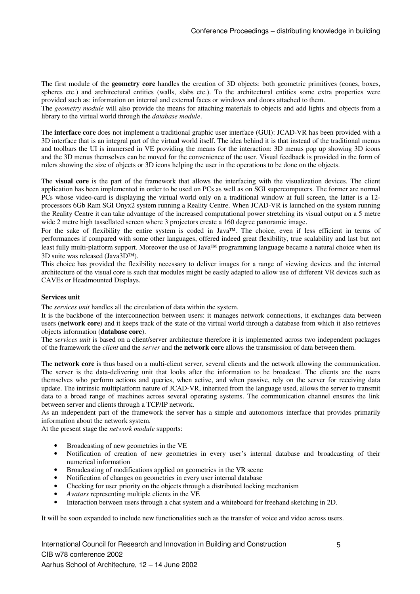The first module of the **geometry core** handles the creation of 3D objects: both geometric primitives (cones, boxes, spheres etc.) and architectural entities (walls, slabs etc.). To the architectural entities some extra properties were provided such as: information on internal and external faces or windows and doors attached to them.

The *geometry module* will also provide the means for attaching materials to objects and add lights and objects from a library to the virtual world through the *database module*.

The **interface core** does not implement a traditional graphic user interface (GUI): JCAD-VR has been provided with a 3D interface that is an integral part of the virtual world itself. The idea behind it is that instead of the traditional menus and toolbars the UI is immersed in VE providing the means for the interaction: 3D menus pop up showing 3D icons and the 3D menus themselves can be moved for the convenience of the user. Visual feedback is provided in the form of rulers showing the size of objects or 3D icons helping the user in the operations to be done on the objects.

The **visual core** is the part of the framework that allows the interfacing with the visualization devices. The client application has been implemented in order to be used on PCs as well as on SGI supercomputers. The former are normal PCs whose video-card is displaying the virtual world only on a traditional window at full screen, the latter is a 12 processors 6Gb Ram SGI Onyx2 system running a Reality Centre. When JCAD-VR is launched on the system running the Reality Centre it can take advantage of the increased computational power stretching its visual output on a 5 metre wide 2 metre high tassellated screen where 3 projectors create a 160 degree panoramic image.

For the sake of flexibility the entire system is coded in Java<sup>TM</sup>. The choice, even if less efficient in terms of performances if compared with some other languages, offered indeed great flexibility, true scalability and last but not least fully multi-platform support. Moreover the use of Java<sup> $TM$ </sup> programming language became a natural choice when its 3D suite was released (Java $3D^{TM}$ ).

This choice has provided the flexibility necessary to deliver images for a range of viewing devices and the internal architecture of the visual core is such that modules might be easily adapted to allow use of different VR devices such as CAVEs or Headmounted Displays.

## **Services unit**

The *services unit* handles all the circulation of data within the system.

It is the backbone of the interconnection between users: it manages network connections, it exchanges data between users (**network core**) and it keeps track of the state of the virtual world through a database from which it also retrieves objects information (**database core**).

The *services unit* is based on a client/server architecture therefore it is implemented across two independent packages of the framework the *client* and the *server* and the **network core** allows the transmission of data between them.

The **network core** is thus based on a multi-client server, several clients and the network allowing the communication. The server is the data-delivering unit that looks after the information to be broadcast. The clients are the users themselves who perform actions and queries, when active, and when passive, rely on the server for receiving data update. The intrinsic multiplatform nature of JCAD-VR, inherited from the language used, allows the server to transmit data to a broad range of machines across several operating systems. The communication channel ensures the link between server and clients through a TCP/IP network.

As an independent part of the framework the server has a simple and autonomous interface that provides primarily information about the network system.

At the present stage the *network module* supports:

- Broadcasting of new geometries in the VE
- Notification of creation of new geometries in every user's internal database and broadcasting of their numerical information
- Broadcasting of modifications applied on geometries in the VR scene
- Notification of changes on geometries in every user internal database
- Checking for user priority on the objects through a distributed locking mechanism
- *Avatars* representing multiple clients in the VE
- Interaction between users through a chat system and a whiteboard for freehand sketching in 2D.

It will be soon expanded to include new functionalities such as the transfer of voice and video across users.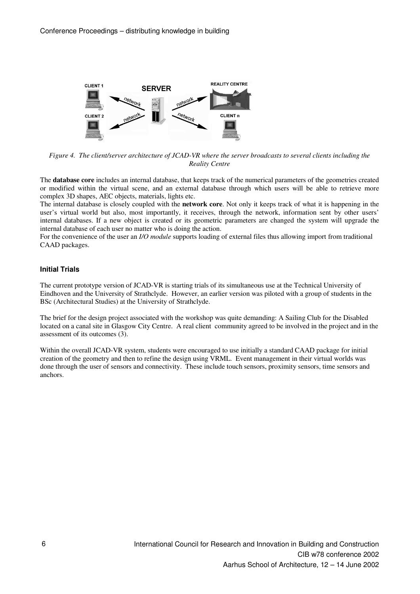

*Figure 4. The client/server architecture of JCAD-VR where the server broadcasts to several clients including the Reality Centre*

The **database core** includes an internal database, that keeps track of the numerical parameters of the geometries created or modified within the virtual scene, and an external database through which users will be able to retrieve more complex 3D shapes, AEC objects, materials, lights etc.

The internal database is closely coupled with the **network core**. Not only it keeps track of what it is happening in the user's virtual world but also, most importantly, it receives, through the network, information sent by other users' internal databases. If a new object is created or its geometric parameters are changed the system will upgrade the internal database of each user no matter who is doing the action.

For the convenience of the user an *I/O module* supports loading of external files thus allowing import from traditional CAAD packages.

## **Initial Trials**

The current prototype version of JCAD-VR is starting trials of its simultaneous use at the Technical University of Eindhoven and the University of Strathclyde. However, an earlier version was piloted with a group of students in the BSc (Architectural Studies) at the University of Strathclyde.

The brief for the design project associated with the workshop was quite demanding: A Sailing Club for the Disabled located on a canal site in Glasgow City Centre. A real client community agreed to be involved in the project and in the assessment of its outcomes (3).

Within the overall JCAD-VR system, students were encouraged to use initially a standard CAAD package for initial creation of the geometry and then to refine the design using VRML. Event management in their virtual worlds was done through the user of sensors and connectivity. These include touch sensors, proximity sensors, time sensors and anchors.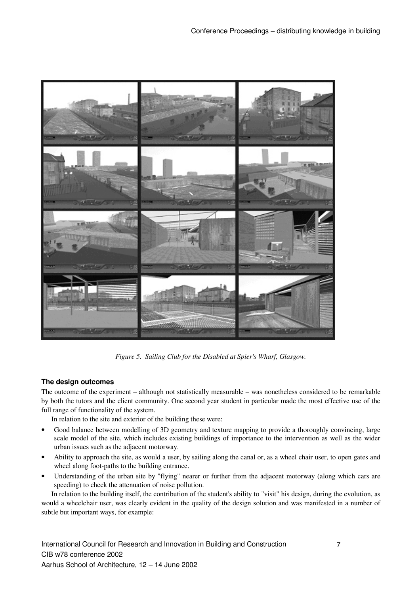

*Figure 5. Sailing Club for the Disabled at Spier's Wharf, Glasgow.*

# **The design outcomes**

The outcome of the experiment – although not statistically measurable – was nonetheless considered to be remarkable by both the tutors and the client community. One second year student in particular made the most effective use of the full range of functionality of the system.

In relation to the site and exterior of the building these were:

- Good balance between modelling of 3D geometry and texture mapping to provide a thoroughly convincing, large scale model of the site, which includes existing buildings of importance to the intervention as well as the wider urban issues such as the adjacent motorway.
- Ability to approach the site, as would a user, by sailing along the canal or, as a wheel chair user, to open gates and wheel along foot-paths to the building entrance.
- Understanding of the urban site by "flying" nearer or further from the adjacent motorway (along which cars are speeding) to check the attenuation of noise pollution.

In relation to the building itself, the contribution of the student's ability to "visit" his design, during the evolution, as would a wheelchair user, was clearly evident in the quality of the design solution and was manifested in a number of subtle but important ways, for example: